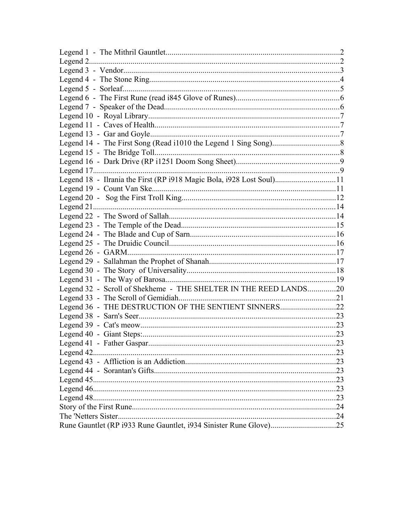| Legend 18 - Ilrania the First (RP i918 Magic Bola, i928 Lost Soul)11 |    |
|----------------------------------------------------------------------|----|
|                                                                      |    |
|                                                                      |    |
|                                                                      |    |
|                                                                      |    |
|                                                                      |    |
|                                                                      |    |
|                                                                      |    |
|                                                                      |    |
|                                                                      |    |
|                                                                      |    |
|                                                                      |    |
| Legend 32 - Scroll of Shekheme - THE SHELTER IN THE REED LANDS20     |    |
|                                                                      |    |
| Legend 36 - THE DESTRUCTION OF THE SENTIENT SINNERS22                |    |
|                                                                      |    |
|                                                                      |    |
|                                                                      |    |
|                                                                      | 23 |
|                                                                      |    |
|                                                                      |    |
|                                                                      |    |
|                                                                      |    |
|                                                                      |    |
|                                                                      |    |
|                                                                      |    |
|                                                                      |    |
|                                                                      |    |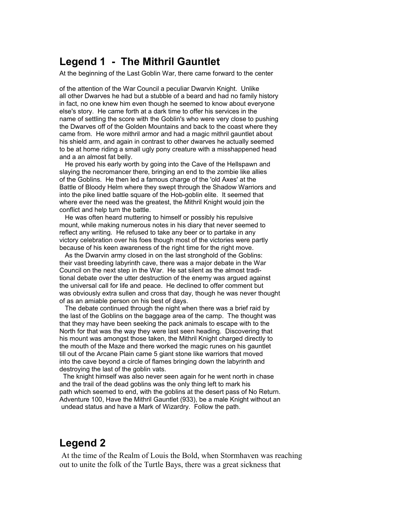#### <span id="page-1-0"></span>**Legend 1 - The Mithril Gauntlet**

At the beginning of the Last Goblin War, there came forward to the center

of the attention of the War Council a peculiar Dwarvin Knight. Unlike all other Dwarves he had but a stubble of a beard and had no family history in fact, no one knew him even though he seemed to know about everyone else's story. He came forth at a dark time to offer his services in the name of settling the score with the Goblin's who were very close to pushing the Dwarves off of the Golden Mountains and back to the coast where they came from. He wore mithril armor and had a magic mithril gauntlet about his shield arm, and again in contrast to other dwarves he actually seemed to be at home riding a small ugly pony creature with a misshappened head and a an almost fat belly.

 He proved his early worth by going into the Cave of the Hellspawn and slaying the necromancer there, bringing an end to the zombie like allies of the Goblins. He then led a famous charge of the 'old Axes' at the Battle of Bloody Helm where they swept through the Shadow Warriors and into the pike lined battle square of the Hob-goblin elite. It seemed that where ever the need was the greatest, the Mithril Knight would join the conflict and help turn the battle.

 He was often heard muttering to himself or possibly his repulsive mount, while making numerous notes in his diary that never seemed to reflect any writing. He refused to take any beer or to partake in any victory celebration over his foes though most of the victories were partly because of his keen awareness of the right time for the right move.

 As the Dwarvin army closed in on the last stronghold of the Goblins: their vast breeding labyrinth cave, there was a major debate in the War Council on the next step in the War. He sat silent as the almost traditional debate over the utter destruction of the enemy was argued against the universal call for life and peace. He declined to offer comment but was obviously extra sullen and cross that day, though he was never thought of as an amiable person on his best of days.

 The debate continued through the night when there was a brief raid by the last of the Goblins on the baggage area of the camp. The thought was that they may have been seeking the pack animals to escape with to the North for that was the way they were last seen heading. Discovering that his mount was amongst those taken, the Mithril Knight charged directly to the mouth of the Maze and there worked the magic runes on his gauntlet till out of the Arcane Plain came 5 giant stone like warriors that moved into the cave beyond a circle of flames bringing down the labyrinth and destroying the last of the goblin vats.

 The knight himself was also never seen again for he went north in chase and the trail of the dead goblins was the only thing left to mark his path which seemed to end, with the goblins at the desert pass of No Return. Adventure 100, Have the Mithril Gauntlet (933), be a male Knight without an undead status and have a Mark of Wizardry. Follow the path.

#### <span id="page-1-1"></span>**Legend 2**

 At the time of the Realm of Louis the Bold, when Stormhaven was reaching out to unite the folk of the Turtle Bays, there was a great sickness that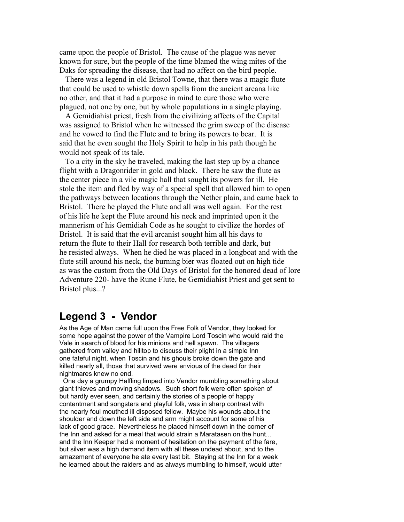came upon the people of Bristol. The cause of the plague was never known for sure, but the people of the time blamed the wing mites of the Daks for spreading the disease, that had no affect on the bird people.

 There was a legend in old Bristol Towne, that there was a magic flute that could be used to whistle down spells from the ancient arcana like no other, and that it had a purpose in mind to cure those who were plagued, not one by one, but by whole populations in a single playing.

 A Gemidiahist priest, fresh from the civilizing affects of the Capital was assigned to Bristol when he witnessed the grim sweep of the disease and he vowed to find the Flute and to bring its powers to bear. It is said that he even sought the Holy Spirit to help in his path though he would not speak of its tale.

 To a city in the sky he traveled, making the last step up by a chance flight with a Dragonrider in gold and black. There he saw the flute as the center piece in a vile magic hall that sought its powers for ill. He stole the item and fled by way of a special spell that allowed him to open the pathways between locations through the Nether plain, and came back to Bristol. There he played the Flute and all was well again. For the rest of his life he kept the Flute around his neck and imprinted upon it the mannerism of his Gemidiah Code as he sought to civilize the hordes of Bristol. It is said that the evil arcanist sought him all his days to return the flute to their Hall for research both terrible and dark, but he resisted always. When he died he was placed in a longboat and with the flute still around his neck, the burning bier was floated out on high tide as was the custom from the Old Days of Bristol for the honored dead of lore Adventure 220- have the Rune Flute, be Gemidiahist Priest and get sent to Bristol plus...?

#### <span id="page-2-0"></span>**Legend 3 - Vendor**

As the Age of Man came full upon the Free Folk of Vendor, they looked for some hope against the power of the Vampire Lord Toscin who would raid the Vale in search of blood for his minions and hell spawn. The villagers gathered from valley and hilltop to discuss their plight in a simple Inn one fateful night, when Toscin and his ghouls broke down the gate and killed nearly all, those that survived were envious of the dead for their nightmares knew no end.

 One day a grumpy Halfling limped into Vendor mumbling something about giant thieves and moving shadows. Such short folk were often spoken of but hardly ever seen, and certainly the stories of a people of happy contentment and songsters and playful folk, was in sharp contrast with the nearly foul mouthed ill disposed fellow. Maybe his wounds about the shoulder and down the left side and arm might account for some of his lack of good grace. Nevertheless he placed himself down in the corner of the Inn and asked for a meal that would strain a Maratasen on the hunt... and the Inn Keeper had a moment of hesitation on the payment of the fare, but silver was a high demand item with all these undead about, and to the amazement of everyone he ate every last bit. Staying at the Inn for a week he learned about the raiders and as always mumbling to himself, would utter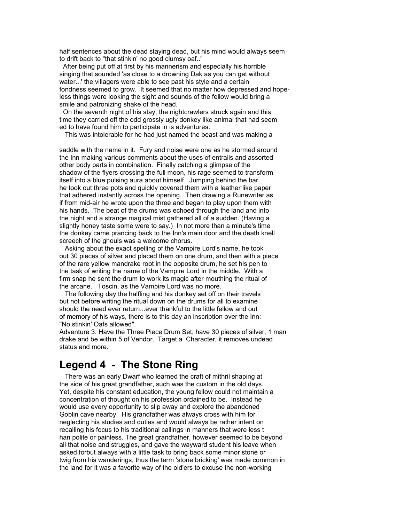half sentences about the dead staying dead, but his mind would always seem to drift back to "that stinkin' no good clumsy oaf.."

 After being put off at first by his mannerism and especially his horrible singing that sounded 'as close to a drowning Dak as you can get without water...' the villagers were able to see past his style and a certain fondness seemed to grow. It seemed that no matter how depressed and hopeless things were looking the sight and sounds of the fellow would bring a smile and patronizing shake of the head.

 On the seventh night of his stay, the nightcrawlers struck again and this time they carried off the odd grossly ugly donkey like animal that had seem ed to have found him to participate in is adventures.

This was intolerable for he had just named the beast and was making a

saddle with the name in it. Fury and noise were one as he stormed around the Inn making various comments about the uses of entrails and assorted other body parts in combination. Finally catching a glimpse of the shadow of the flyers crossing the full moon, his rage seemed to transform itself into a blue pulsing aura about himself. Jumping behind the bar he took out three pots and quickly covered them with a leather like paper that adhered instantly across the opening. Then drawing a Runewriter as if from mid-air he wrote upon the three and began to play upon them with his hands. The beat of the drums was echoed through the land and into the night and a strange magical mist gathered all of a sudden. (Having a slightly honey taste some were to say.) In not more than a minute's time the donkey came prancing back to the Inn's main door and the death knell screech of the ghouls was a welcome chorus.

 Asking about the exact spelling of the Vampire Lord's name, he took out 30 pieces of silver and placed them on one drum, and then with a piece of the rare yellow mandrake root in the opposite drum, he set his pen to the task of writing the name of the Vampire Lord in the middle. With a firm snap he sent the drum to work its magic after mouthing the ritual of the arcane. Toscin, as the Vampire Lord was no more.

 The following day the halfling and his donkey set off on their travels but not before writing the ritual down on the drums for all to examine should the need ever return...ever thankful to the little fellow and out of memory of his ways, there is to this day an inscription over the Inn: "No stinkin' Oafs allowed".

Adventure 3: Have the Three Piece Drum Set, have 30 pieces of silver, 1 man drake and be within 5 of Vendor. Target a Character, it removes undead status and more.

#### <span id="page-3-0"></span>**Legend 4 - The Stone Ring**

 There was an early Dwarf who learned the craft of mithril shaping at the side of his great grandfather, such was the custom in the old days. Yet, despite his constant education, the young fellow could not maintain a concentration of thought on his profession ordained to be. Instead he would use every opportunity to slip away and explore the abandoned Goblin cave nearby. His grandfather was always cross with him for neglecting his studies and duties and would always be rather intent on recalling his focus to his traditional callings in manners that were less t han polite or painless. The great grandfather, however seemed to be beyond all that noise and struggles, and gave the wayward student his leave when asked forbut always with a little task to bring back some minor stone or twig from his wanderings, thus the term 'stone bricking' was made common in the land for it was a favorite way of the old'ers to excuse the non-working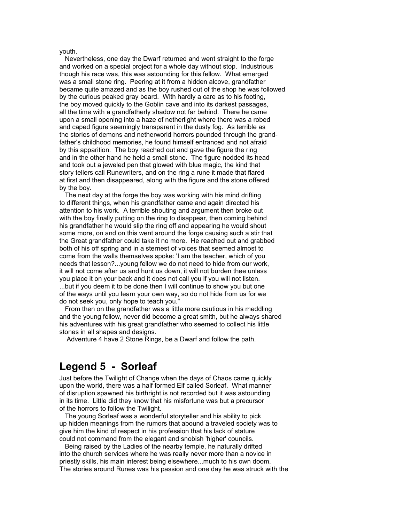#### youth.

 Nevertheless, one day the Dwarf returned and went straight to the forge and worked on a special project for a whole day without stop. Industrious though his race was, this was astounding for this fellow. What emerged was a small stone ring. Peering at it from a hidden alcove, grandfather became quite amazed and as the boy rushed out of the shop he was followed by the curious peaked gray beard. With hardly a care as to his footing, the boy moved quickly to the Goblin cave and into its darkest passages, all the time with a grandfatherly shadow not far behind. There he came upon a small opening into a haze of netherlight where there was a robed and caped figure seemingly transparent in the dusty fog. As terrible as the stories of demons and netherworld horrors pounded through the grandfather's childhood memories, he found himself entranced and not afraid by this apparition. The boy reached out and gave the figure the ring and in the other hand he held a small stone. The figure nodded its head and took out a jeweled pen that glowed with blue magic, the kind that story tellers call Runewriters, and on the ring a rune it made that flared at first and then disappeared, along with the figure and the stone offered by the boy.

 The next day at the forge the boy was working with his mind drifting to different things, when his grandfather came and again directed his attention to his work. A terrible shouting and argument then broke out with the boy finally putting on the ring to disappear, then coming behind his grandfather he would slip the ring off and appearing he would shout some more, on and on this went around the forge causing such a stir that the Great grandfather could take it no more. He reached out and grabbed both of his off spring and in a sternest of voices that seemed almost to come from the walls themselves spoke: 'I am the teacher, which of you needs that lesson?...young fellow we do not need to hide from our work, it will not come after us and hunt us down, it will not burden thee unless you place it on your back and it does not call you if you will not listen. ...but if you deem it to be done then I will continue to show you but one of the ways until you learn your own way, so do not hide from us for we do not seek you, only hope to teach you."

 From then on the grandfather was a little more cautious in his meddling and the young fellow, never did become a great smith, but he always shared his adventures with his great grandfather who seemed to collect his little stones in all shapes and designs.

Adventure 4 have 2 Stone Rings, be a Dwarf and follow the path.

#### <span id="page-4-0"></span>**Legend 5 - Sorleaf**

Just before the Twilight of Change when the days of Chaos came quickly upon the world, there was a half formed Elf called Sorleaf. What manner of disruption spawned his birthright is not recorded but it was astounding in its time. Little did they know that his misfortune was but a precursor of the horrors to follow the Twilight.

 The young Sorleaf was a wonderful storyteller and his ability to pick up hidden meanings from the rumors that abound a traveled society was to give him the kind of respect in his profession that his lack of stature could not command from the elegant and snobish 'higher' councils.

 Being raised by the Ladies of the nearby temple, he naturally drifted into the church services where he was really never more than a novice in priestly skills, his main interest being elsewhere...much to his own doom. The stories around Runes was his passion and one day he was struck with the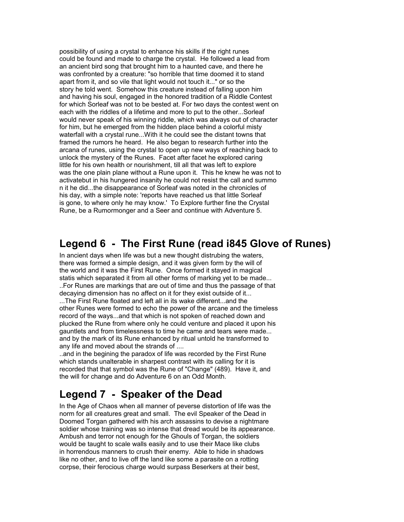possibility of using a crystal to enhance his skills if the right runes could be found and made to charge the crystal. He followed a lead from an ancient bird song that brought him to a haunted cave, and there he was confronted by a creature: "so horrible that time doomed it to stand apart from it, and so vile that light would not touch it..." or so the story he told went. Somehow this creature instead of falling upon him and having his soul, engaged in the honored tradition of a Riddle Contest for which Sorleaf was not to be bested at. For two days the contest went on each with the riddles of a lifetime and more to put to the other...Sorleaf would never speak of his winning riddle, which was always out of character for him, but he emerged from the hidden place behind a colorful misty waterfall with a crystal rune...With it he could see the distant towns that framed the rumors he heard. He also began to research further into the arcana of runes, using the crystal to open up new ways of reaching back to unlock the mystery of the Runes. Facet after facet he explored caring little for his own health or nourishment, till all that was left to explore was the one plain plane without a Rune upon it. This he knew he was not to activatebut in his hungered insanity he could not resist the call and summo n it he did...the disappearance of Sorleaf was noted in the chronicles of his day, with a simple note: 'reports have reached us that little Sorleaf is gone, to where only he may know.' To Explore further fine the Crystal Rune, be a Rumormonger and a Seer and continue with Adventure 5.

#### <span id="page-5-1"></span>**Legend 6 - The First Rune (read i845 Glove of Runes)**

In ancient days when life was but a new thought distrubing the waters, there was formed a simple design, and it was given form by the will of the world and it was the First Rune. Once formed it stayed in magical statis which separated it from all other forms of marking yet to be made... ..For Runes are markings that are out of time and thus the passage of that decaying dimension has no affect on it for they exist outside of it... ...The First Rune floated and left all in its wake different...and the other Runes were formed to echo the power of the arcane and the timeless record of the ways...and that which is not spoken of reached down and plucked the Rune from where only he could venture and placed it upon his gauntlets and from timelessness to time he came and tears were made... and by the mark of its Rune enhanced by ritual untold he transformed to any life and moved about the strands of ....

..and in the begining the paradox of life was recorded by the First Rune which stands unalterable in sharpest contrast with its calling for it is recorded that that symbol was the Rune of "Change" (489). Have it, and the will for change and do Adventure 6 on an Odd Month.

# <span id="page-5-0"></span>**Legend 7 - Speaker of the Dead**

In the Age of Chaos when all manner of peverse distortion of life was the norm for all creatures great and small. The evil Speaker of the Dead in Doomed Torgan gathered with his arch assassins to devise a nightmare soldier whose training was so intense that dread would be its appearance. Ambush and terror not enough for the Ghouls of Torgan, the soldiers would be taught to scale walls easily and to use their Mace like clubs in horrendous manners to crush their enemy. Able to hide in shadows like no other, and to live off the land like some a parasite on a rotting corpse, their ferocious charge would surpass Beserkers at their best,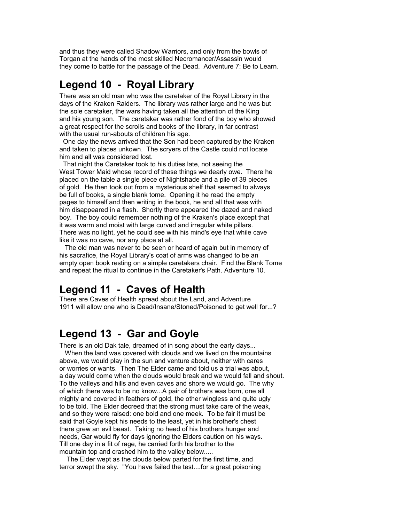and thus they were called Shadow Warriors, and only from the bowls of Torgan at the hands of the most skilled Necromancer/Assassin would they come to battle for the passage of the Dead. Adventure 7: Be to Learn.

## <span id="page-6-2"></span>**Legend 10 - Royal Library**

There was an old man who was the caretaker of the Royal Library in the days of the Kraken Raiders. The library was rather large and he was but the sole caretaker, the wars having taken all the attention of the King and his young son. The caretaker was rather fond of the boy who showed a great respect for the scrolls and books of the library, in far contrast with the usual run-abouts of children his age.

 One day the news arrived that the Son had been captured by the Kraken and taken to places unkown. The scryers of the Castle could not locate him and all was considered lost.

 That night the Caretaker took to his duties late, not seeing the West Tower Maid whose record of these things we dearly owe. There he placed on the table a single piece of Nightshade and a pile of 39 pieces of gold. He then took out from a mysterious shelf that seemed to always be full of books, a single blank tome. Opening it he read the empty pages to himself and then writing in the book, he and all that was with him disappeared in a flash. Shortly there appeared the dazed and naked boy. The boy could remember nothing of the Kraken's place except that it was warm and moist with large curved and irregular white pillars. There was no light, yet he could see with his mind's eye that while cave like it was no cave, nor any place at all.

 The old man was never to be seen or heard of again but in memory of his sacrafice, the Royal Library's coat of arms was changed to be an empty open book resting on a simple caretakers chair. Find the Blank Tome and repeat the ritual to continue in the Caretaker's Path. Adventure 10.

#### <span id="page-6-1"></span>**Legend 11 - Caves of Health**

There are Caves of Health spread about the Land, and Adventure 1911 will allow one who is Dead/Insane/Stoned/Poisoned to get well for...?

#### <span id="page-6-0"></span>**Legend 13 - Gar and Goyle**

There is an old Dak tale, dreamed of in song about the early days... When the land was covered with clouds and we lived on the mountains above, we would play in the sun and venture about, neither with cares or worries or wants. Then The Elder came and told us a trial was about, a day would come when the clouds would break and we would fall and shout. To the valleys and hills and even caves and shore we would go. The why of which there was to be no know...A pair of brothers was born, one all mighty and covered in feathers of gold, the other wingless and quite ugly to be told. The Elder decreed that the strong must take care of the weak, and so they were raised: one bold and one meek. To be fair it must be said that Goyle kept his needs to the least, yet in his brother's chest there grew an evil beast. Taking no heed of his brothers hunger and needs, Gar would fly for days ignoring the Elders caution on his ways. Till one day in a fit of rage, he carried forth his brother to the mountain top and crashed him to the valley below.....

 The Elder wept as the clouds below parted for the first time, and terror swept the sky. "You have failed the test....for a great poisoning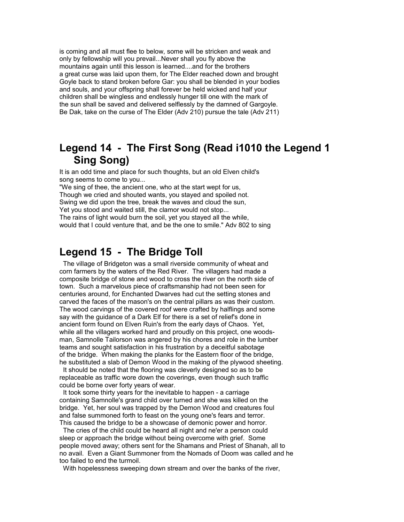is coming and all must flee to below, some will be stricken and weak and only by fellowship will you prevail...Never shall you fly above the mountains again until this lesson is learned....and for the brothers a great curse was laid upon them, for The Elder reached down and brought Goyle back to stand broken before Gar: you shall be blended in your bodies and souls, and your offspring shall forever be held wicked and half your children shall be wingless and endlessly hunger till one with the mark of the sun shall be saved and delivered selflessly by the damned of Gargoyle. Be Dak, take on the curse of The Elder (Adv 210) pursue the tale (Adv 211)

#### <span id="page-7-1"></span>**Legend 14 - The First Song (Read i1010 the Legend 1 Sing Song)**

It is an odd time and place for such thoughts, but an old Elven child's song seems to come to you...

"We sing of thee, the ancient one, who at the start wept for us, Though we cried and shouted wants, you stayed and spoiled not. Swing we did upon the tree, break the waves and cloud the sun, Yet you stood and waited still, the clamor would not stop... The rains of light would burn the soil, yet you stayed all the while, would that I could venture that, and be the one to smile." Adv 802 to sing

#### <span id="page-7-0"></span>**Legend 15 - The Bridge Toll**

 The village of Bridgeton was a small riverside community of wheat and corn farmers by the waters of the Red River. The villagers had made a composite bridge of stone and wood to cross the river on the north side of town. Such a marvelous piece of craftsmanship had not been seen for centuries around, for Enchanted Dwarves had cut the setting stones and carved the faces of the mason's on the central pillars as was their custom. The wood carvings of the covered roof were crafted by halflings and some say with the guidance of a Dark Elf for there is a set of relief's done in ancient form found on Elven Ruin's from the early days of Chaos. Yet, while all the villagers worked hard and proudly on this project, one woodsman, Samnolle Tailorson was angered by his chores and role in the lumber teams and sought satisfaction in his frustration by a deceitful sabotage of the bridge. When making the planks for the Eastern floor of the bridge, he substituted a slab of Demon Wood in the making of the plywood sheeting.

 It should be noted that the flooring was cleverly designed so as to be replaceable as traffic wore down the coverings, even though such traffic could be borne over forty years of wear.

 It took some thirty years for the inevitable to happen - a carriage containing Samnolle's grand child over turned and she was killed on the bridge. Yet, her soul was trapped by the Demon Wood and creatures foul and false summoned forth to feast on the young one's fears and terror. This caused the bridge to be a showcase of demonic power and horror.

 The cries of the child could be heard all night and ne'er a person could sleep or approach the bridge without being overcome with grief. Some people moved away; others sent for the Shamans and Priest of Shanah, all to no avail. Even a Giant Summoner from the Nomads of Doom was called and he too failed to end the turmoil.

With hopelessness sweeping down stream and over the banks of the river,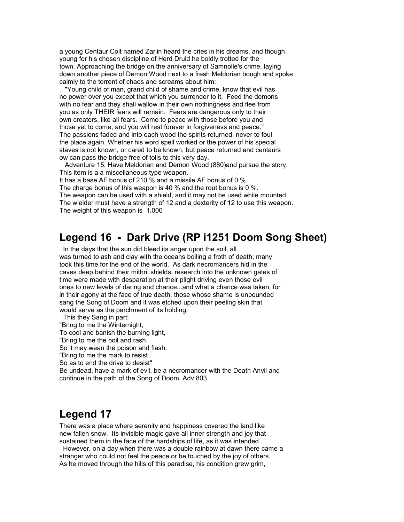a young Centaur Colt named Zarlin heard the cries in his dreams, and though young for his chosen discipline of Herd Druid he boldly trotted for the town. Approaching the bridge on the anniversary of Samnolle's crime, laying down another piece of Demon Wood next to a fresh Meldorian bough and spoke calmly to the torrent of chaos and screams about him:

 "Young child of man, grand child of shame and crime, know that evil has no power over you except that which you surrender to it. Feed the demons with no fear and they shall wallow in their own nothingness and flee from you as only THEIR fears will remain. Fears are dangerous only to their own creators, like all fears. Come to peace with those before you and those yet to come, and you will rest forever in forgiveness and peace." The passions faded and into each wood the spirits returned, never to foul the place again. Whether his word spell worked or the power of his special staves is not known, or cared to be known, but peace returned and centaurs ow can pass the bridge free of tolls to this very day.

 Adventure 15: Have Meldorian and Demon Wood (880)and pursue the story. This item is a a miscellaneous type weapon.

It has a base AF bonus of 210 % and a missile AF bonus of 0 %.

The charge bonus of this weapon is 40 % and the rout bonus is 0 %. The weapon can be used with a shield, and it may not be used while mounted. The wielder must have a strength of 12 and a dexterity of 12 to use this weapon. The weight of this weapon is 1.000

## <span id="page-8-1"></span>**Legend 16 - Dark Drive (RP i1251 Doom Song Sheet)**

 In the days that the sun did bleed its anger upon the soil, all was turned to ash and clay with the oceans boiling a froth of death; many took this time for the end of the world. As dark necromancers hid in the caves deep behind their mithril shields, research into the unknown gates of time were made with desparation at their plight driving even those evil ones to new levels of daring and chance...and what a chance was taken, for in their agony at the face of true death, those whose shame is unbounded sang the Song of Doom and it was etched upon their peeling skin that would serve as the parchment of its holding.

This they Sang in part:

"Bring to me the Winternight,

To cool and banish the burning light,

"Bring to me the boil and rash

So it may wean the poison and flash.

"Bring to me the mark to resist

So as to end the drive to desist"

Be undead, have a mark of evil, be a necromancer with the Death Anvil and continue in the path of the Song of Doom. Adv 803

## <span id="page-8-0"></span>**Legend 17**

There was a place where serenity and happiness covered the land like new fallen snow. Its invisible magic gave all inner strength and joy that sustained them in the face of the hardships of life, as it was intended...

 However, on a day when there was a double rainbow at dawn there came a stranger who could not feel the peace or be touched by the joy of others. As he moved through the hills of this paradise, his condition grew grim,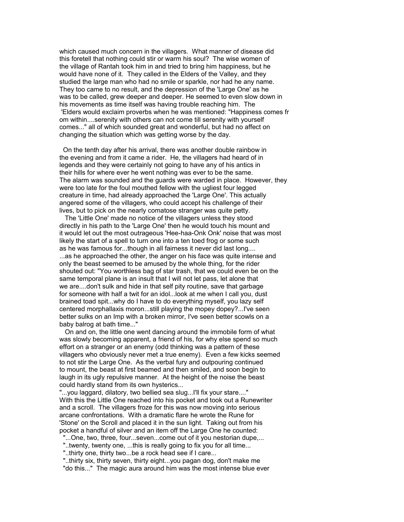which caused much concern in the villagers. What manner of disease did this foretell that nothing could stir or warm his soul? The wise women of the village of Rantah took him in and tried to bring him happiness, but he would have none of it. They called in the Elders of the Valley, and they studied the large man who had no smile or sparkle, nor had he any name. They too came to no result, and the depression of the 'Large One' as he was to be called, grew deeper and deeper. He seemed to even slow down in his movements as time itself was having trouble reaching him. The 'Elders would exclaim proverbs when he was mentioned: "Happiness comes fr om within....serenity with others can not come till serenity with yourself comes..." all of which sounded great and wonderful, but had no affect on changing the situation which was getting worse by the day.

 On the tenth day after his arrival, there was another double rainbow in the evening and from it came a rider. He, the villagers had heard of in legends and they were certainly not going to have any of his antics in their hills for where ever he went nothing was ever to be the same. The alarm was sounded and the guards were warded in place. However, they were too late for the foul mouthed fellow with the ugliest four legged creature in time, had already approached the 'Large One'. This actually angered some of the villagers, who could accept his challenge of their lives, but to pick on the nearly comatose stranger was quite petty.

 The 'Little One' made no notice of the villagers unless they stood directly in his path to the 'Large One' then he would touch his mount and it would let out the most outrageous 'Hee-haa-Onk Onk' noise that was most likely the start of a spell to turn one into a ten toed frog or some such as he was famous for...though in all fairness it never did last long.... ...as he approached the other, the anger on his face was quite intense and only the beast seemed to be amused by the whole thing, for the rider shouted out: "You worthless bag of star trash, that we could even be on the same temporal plane is an insult that I will not let pass, let alone that we are....don't sulk and hide in that self pity routine, save that garbage for someone with half a twit for an idol...look at me when I call you, dust brained toad spit...why do I have to do everything myself, you lazy self centered morphallaxis moron...still playing the mopey dopey?...I've seen better sulks on an Imp with a broken mirror, I've seen better scowls on a baby balrog at bath time..."

 On and on, the little one went dancing around the immobile form of what was slowly becoming apparent, a friend of his, for why else spend so much effort on a stranger or an enemy (odd thinking was a pattern of these villagers who obviously never met a true enemy). Even a few kicks seemed to not stir the Large One. As the verbal fury and outpouring continued to mount, the beast at first beamed and then smiled, and soon begin to laugh in its ugly repulsive manner. At the height of the noise the beast could hardly stand from its own hysterics...

"...you laggard, dilatory, two bellied sea slug...I'll fix your stare...." With this the Little One reached into his pocket and took out a Runewriter and a scroll. The villagers froze for this was now moving into serious arcane confrontations. With a dramatic flare he wrote the Rune for 'Stone' on the Scroll and placed it in the sun light. Taking out from his pocket a handful of silver and an item off the Large One he counted:

"...One, two, three, four...seven...come out of it you nestorian dupe,...

"..twenty, twenty one, ...this is really going to fix you for all time...

"..thirty one, thirty two...be a rock head see if I care...

 "..thirty six, thirty seven, thirty eight...you pagan dog, don't make me "do this..." The magic aura around him was the most intense blue ever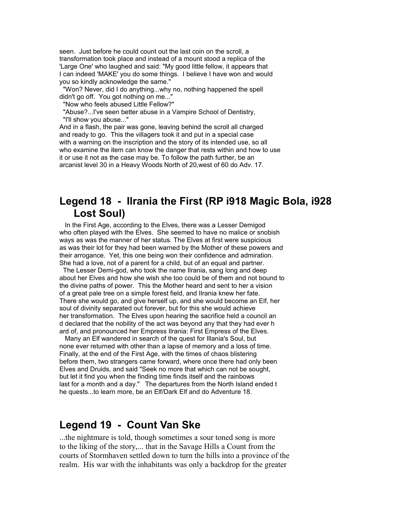seen. Just before he could count out the last coin on the scroll, a transformation took place and instead of a mount stood a replica of the 'Large One' who laughed and said: "My good little fellow, it appears that I can indeed 'MAKE' you do some things. I believe I have won and would you so kindly acknowledge the same."

 "Won? Never, did I do anything...why no, nothing happened the spell didn't go off. You got nothing on me...'

"Now who feels abused Little Fellow?"

 "Abuse?...I've seen better abuse in a Vampire School of Dentistry, "I'll show you abuse..."

And in a flash, the pair was gone, leaving behind the scroll all charged and ready to go. This the villagers took it and put in a special case with a warning on the inscription and the story of its intended use, so all who examine the item can know the danger that rests within and how to use it or use it not as the case may be. To follow the path further, be an arcanist level 30 in a Heavy Woods North of 20,west of 60 do Adv. 17.

#### <span id="page-10-1"></span>**Legend 18 - Ilrania the First (RP i918 Magic Bola, i928 Lost Soul)**

 In the First Age, according to the Elves, there was a Lesser Demigod who often played with the Elves. She seemed to have no malice or snobish ways as was the manner of her status. The Elves at first were suspicious as was their lot for they had been warned by the Mother of these powers and their arrogance. Yet, this one being won their confidence and admiration. She had a love, not of a parent for a child, but of an equal and partner.

 The Lesser Demi-god, who took the name Ilrania, sang long and deep about her Elves and how she wish she too could be of them and not bound to the divine paths of power. This the Mother heard and sent to her a vision of a great pale tree on a simple forest field, and Ilrania knew her fate. There she would go, and give herself up, and she would become an Elf, her soul of divinity separated out forever, but for this she would achieve her transformation. The Elves upon hearing the sacrifice held a council an d declared that the nobility of the act was beyond any that they had ever h ard of, and pronounced her Empress Ilrania: First Empress of the Elves.

 Many an Elf wandered in search of the quest for Illania's Soul, but none ever returned with other than a lapse of memory and a loss of time. Finally, at the end of the First Age, with the times of chaos blistering before them, two strangers came forward, where once there had only been Elves and Druids, and said "Seek no more that which can not be sought, but let it find you when the finding time finds itself and the rainbows last for a month and a day." The departures from the North Island ended t he quests...to learn more, be an Elf/Dark Elf and do Adventure 18.

#### <span id="page-10-0"></span>**Legend 19 - Count Van Ske**

...the nightmare is told, though sometimes a sour toned song is more to the liking of the story,... that in the Savage Hills a Count from the courts of Stormhaven settled down to turn the hills into a province of the realm. His war with the inhabitants was only a backdrop for the greater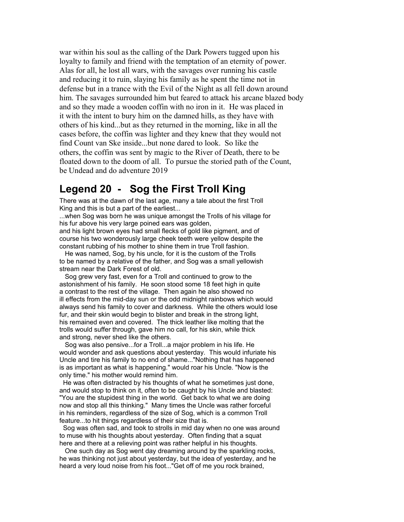war within his soul as the calling of the Dark Powers tugged upon his loyalty to family and friend with the temptation of an eternity of power. Alas for all, he lost all wars, with the savages over running his castle and reducing it to ruin, slaying his family as he spent the time not in defense but in a trance with the Evil of the Night as all fell down around him. The savages surrounded him but feared to attack his arcane blazed body and so they made a wooden coffin with no iron in it. He was placed in it with the intent to bury him on the damned hills, as they have with others of his kind...but as they returned in the morning, like in all the cases before, the coffin was lighter and they knew that they would not find Count van Ske inside...but none dared to look. So like the others, the coffin was sent by magic to the River of Death, there to be floated down to the doom of all. To pursue the storied path of the Count, be Undead and do adventure 2019

#### <span id="page-11-0"></span>**Legend 20 - Sog the First Troll King**

There was at the dawn of the last age, many a tale about the first Troll King and this is but a part of the earliest...

...when Sog was born he was unique amongst the Trolls of his village for his fur above his very large poined ears was golden,

and his light brown eyes had small flecks of gold like pigment, and of course his two wonderously large cheek teeth were yellow despite the constant rubbing of his mother to shine them in true Troll fashion.

 He was named, Sog, by his uncle, for it is the custom of the Trolls to be named by a relative of the father, and Sog was a small yellowish stream near the Dark Forest of old.

 Sog grew very fast, even for a Troll and continued to grow to the astonishment of his family. He soon stood some 18 feet high in quite a contrast to the rest of the village. Then again he also showed no ill effects from the mid-day sun or the odd midnight rainbows which would always send his family to cover and darkness. While the others would lose fur, and their skin would begin to blister and break in the strong light, his remained even and covered. The thick leather like molting that the trolls would suffer through, gave him no call, for his skin, while thick and strong, never shed like the others.

 Sog was also pensive...for a Troll...a major problem in his life. He would wonder and ask questions about yesterday. This would infuriate his Uncle and tire his family to no end of shame..."Nothing that has happened is as important as what is happening." would roar his Uncle. "Now is the only time." his mother would remind him.

 He was often distracted by his thoughts of what he sometimes just done, and would stop to think on it, often to be caught by his Uncle and blasted: "You are the stupidest thing in the world. Get back to what we are doing now and stop all this thinking." Many times the Uncle was rather forceful in his reminders, regardless of the size of Sog, which is a common Troll feature...to hit things regardless of their size that is.

 Sog was often sad, and took to strolls in mid day when no one was around to muse with his thoughts about yesterday. Often finding that a squat here and there at a relieving point was rather helpful in his thoughts.

 One such day as Sog went day dreaming around by the sparkling rocks, he was thinking not just about yesterday, but the idea of yesterday, and he heard a very loud noise from his foot..."Get off of me you rock brained,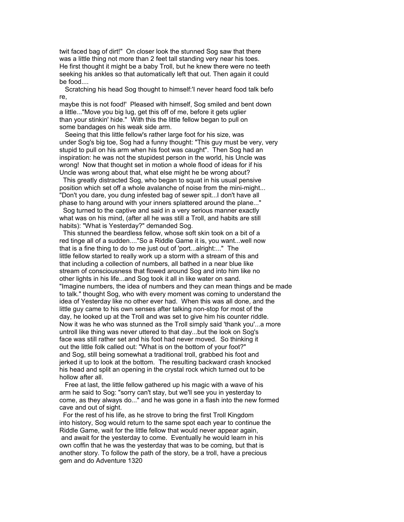twit faced bag of dirt!" On closer look the stunned Sog saw that there was a little thing not more than 2 feet tall standing very near his toes. He first thought it might be a baby Troll, but he knew there were no teeth seeking his ankles so that automatically left that out. Then again it could be food....

 Scratching his head Sog thought to himself:'I never heard food talk befo re,

maybe this is not food!' Pleased with himself, Sog smiled and bent down a little..."Move you big lug, get this off of me, before it gets uglier than your stinkin' hide." With this the little fellow began to pull on some bandages on his weak side arm.

 Seeing that this little fellow's rather large foot for his size, was under Sog's big toe, Sog had a funny thought: "This guy must be very, very stupid to pull on his arm when his foot was caught". Then Sog had an inspiration: he was not the stupidest person in the world, his Uncle was wrong! Now that thought set in motion a whole flood of ideas for if his Uncle was wrong about that, what else might he be wrong about?

 This greatly distracted Sog, who began to squat in his usual pensive position which set off a whole avalanche of noise from the mini-might... "Don't you dare, you dung infested bag of sewer spit...I don't have all phase to hang around with your inners splattered around the plane..."

 Sog turned to the captive and said in a very serious manner exactly what was on his mind, (after all he was still a Troll, and habits are still habits): "What is Yesterday?" demanded Sog.

 This stunned the beardless fellow, whose soft skin took on a bit of a red tinge all of a sudden...."So a Riddle Game it is, you want...well now that is a fine thing to do to me just out of 'port...alright:..." The little fellow started to really work up a storm with a stream of this and that including a collection of numbers, all bathed in a near blue like stream of consciousness that flowed around Sog and into him like no other lights in his life...and Sog took it all in like water on sand. "Imagine numbers, the idea of numbers and they can mean things and be made to talk." thought Sog, who with every moment was coming to understand the idea of Yesterday like no other ever had. When this was all done, and the little guy came to his own senses after talking non-stop for most of the day, he looked up at the Troll and was set to give him his counter riddle. Now it was he who was stunned as the Troll simply said 'thank you'...a more untroll like thing was never uttered to that day...but the look on Sog's face was still rather set and his foot had never moved. So thinking it out the little folk called out: "What is on the bottom of your foot?" and Sog, still being somewhat a traditional troll, grabbed his foot and jerked it up to look at the bottom. The resulting backward crash knocked his head and split an opening in the crystal rock which turned out to be hollow after all.

 Free at last, the little fellow gathered up his magic with a wave of his arm he said to Sog: "sorry can't stay, but we'll see you in yesterday to come, as they always do..." and he was gone in a flash into the new formed cave and out of sight.

 For the rest of his life, as he strove to bring the first Troll Kingdom into history, Sog would return to the same spot each year to continue the Riddle Game, wait for the little fellow that would never appear again, and await for the yesterday to come. Eventually he would learn in his own coffin that he was the yesterday that was to be coming, but that is another story. To follow the path of the story, be a troll, have a precious gem and do Adventure 1320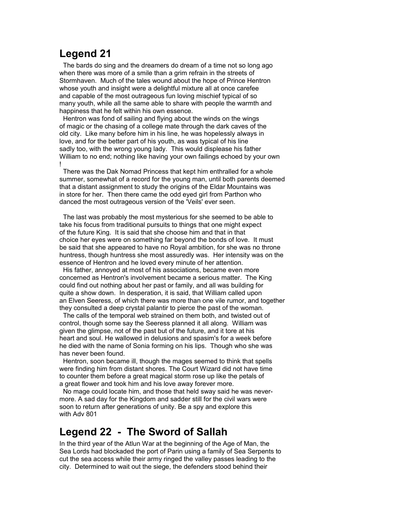### <span id="page-13-1"></span>**Legend 21**

 The bards do sing and the dreamers do dream of a time not so long ago when there was more of a smile than a grim refrain in the streets of Stormhaven. Much of the tales wound about the hope of Prince Hentron whose youth and insight were a delightful mixture all at once carefee and capable of the most outrageous fun loving mischief typical of so many youth, while all the same able to share with people the warmth and happiness that he felt within his own essence.

 Hentron was fond of sailing and flying about the winds on the wings of magic or the chasing of a college mate through the dark caves of the old city. Like many before him in his line, he was hopelessly always in love, and for the better part of his youth, as was typical of his line sadly too, with the wrong young lady. This would displease his father William to no end; nothing like having your own failings echoed by your own !

 There was the Dak Nomad Princess that kept him enthralled for a whole summer, somewhat of a record for the young man, until both parents deemed that a distant assignment to study the origins of the Eldar Mountains was in store for her. Then there came the odd eyed girl from Parthon who danced the most outrageous version of the 'Veils' ever seen.

 The last was probably the most mysterious for she seemed to be able to take his focus from traditional pursuits to things that one might expect of the future King. It is said that she choose him and that in that choice her eyes were on something far beyond the bonds of love. It must be said that she appeared to have no Royal ambition, for she was no throne huntress, though huntress she most assuredly was. Her intensity was on the essence of Hentron and he loved every minute of her attention.

 His father, annoyed at most of his associations, became even more concerned as Hentron's involvement became a serious matter. The King could find out nothing about her past or family, and all was building for quite a show down. In desperation, it is said, that William called upon an Elven Seeress, of which there was more than one vile rumor, and together they consulted a deep crystal palantir to pierce the past of the woman.

 The calls of the temporal web strained on them both, and twisted out of control, though some say the Seeress planned it all along. William was given the glimpse, not of the past but of the future, and it tore at his heart and soul. He wallowed in delusions and spasim's for a week before he died with the name of Sonia forming on his lips. Though who she was has never been found.

 Hentron, soon became ill, though the mages seemed to think that spells were finding him from distant shores. The Court Wizard did not have time to counter them before a great magical storm rose up like the petals of a great flower and took him and his love away forever more.

 No mage could locate him, and those that held sway said he was nevermore. A sad day for the Kingdom and sadder still for the civil wars were soon to return after generations of unity. Be a spy and explore this with Adv 801

### <span id="page-13-0"></span>**Legend 22 - The Sword of Sallah**

In the third year of the Atlun War at the beginning of the Age of Man, the Sea Lords had blockaded the port of Parin using a family of Sea Serpents to cut the sea access while their army ringed the valley passes leading to the city. Determined to wait out the siege, the defenders stood behind their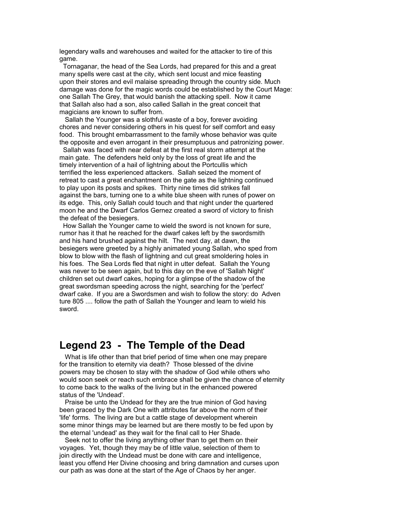legendary walls and warehouses and waited for the attacker to tire of this game.

 Tornaganar, the head of the Sea Lords, had prepared for this and a great many spells were cast at the city, which sent locust and mice feasting upon their stores and evil malaise spreading through the country side. Much damage was done for the magic words could be established by the Court Mage: one Sallah The Grey, that would banish the attacking spell. Now it came that Sallah also had a son, also called Sallah in the great conceit that magicians are known to suffer from.

 Sallah the Younger was a slothful waste of a boy, forever avoiding chores and never considering others in his quest for self comfort and easy food. This brought embarrassment to the family whose behavior was quite the opposite and even arrogant in their presumptuous and patronizing power.

 Sallah was faced with near defeat at the first real storm attempt at the main gate. The defenders held only by the loss of great life and the timely intervention of a hail of lightning about the Portcullis which terrified the less experienced attackers. Sallah seized the moment of retreat to cast a great enchantment on the gate as the lightning continued to play upon its posts and spikes. Thirty nine times did strikes fall against the bars, turning one to a white blue sheen with runes of power on its edge. This, only Sallah could touch and that night under the quartered moon he and the Dwarf Carlos Gernez created a sword of victory to finish the defeat of the besiegers.

 How Sallah the Younger came to wield the sword is not known for sure, rumor has it that he reached for the dwarf cakes left by the swordsmith and his hand brushed against the hilt. The next day, at dawn, the besiegers were greeted by a highly animated young Sallah, who sped from blow to blow with the flash of lightning and cut great smoldering holes in his foes. The Sea Lords fled that night in utter defeat. Sallah the Young was never to be seen again, but to this day on the eve of 'Sallah Night' children set out dwarf cakes, hoping for a glimpse of the shadow of the great swordsman speeding across the night, searching for the 'perfect' dwarf cake. If you are a Swordsmen and wish to follow the story: do Adven ture 805 .... follow the path of Sallah the Younger and learn to wield his sword.

#### <span id="page-14-0"></span>**Legend 23 - The Temple of the Dead**

 What is life other than that brief period of time when one may prepare for the transition to eternity via death? Those blessed of the divine powers may be chosen to stay with the shadow of God while others who would soon seek or reach such embrace shall be given the chance of eternity to come back to the walks of the living but in the enhanced powered status of the 'Undead'.

 Praise be unto the Undead for they are the true minion of God having been graced by the Dark One with attributes far above the norm of their 'life' forms. The living are but a cattle stage of development wherein some minor things may be learned but are there mostly to be fed upon by the eternal 'undead' as they wait for the final call to Her Shade.

 Seek not to offer the living anything other than to get them on their voyages. Yet, though they may be of little value, selection of them to join directly with the Undead must be done with care and intelligence, least you offend Her Divine choosing and bring damnation and curses upon our path as was done at the start of the Age of Chaos by her anger.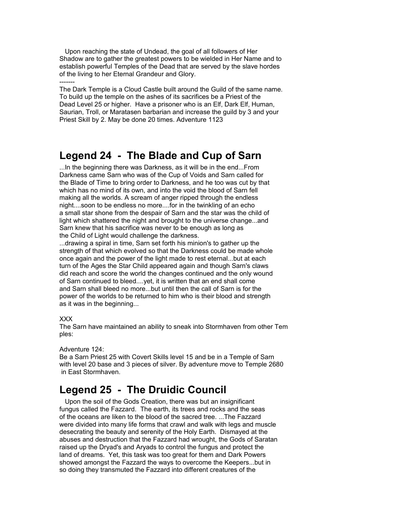Upon reaching the state of Undead, the goal of all followers of Her Shadow are to gather the greatest powers to be wielded in Her Name and to establish powerful Temples of the Dead that are served by the slave hordes of the living to her Eternal Grandeur and Glory.

------- The Dark Temple is a Cloud Castle built around the Guild of the same name. To build up the temple on the ashes of its sacrifices be a Priest of the Dead Level 25 or higher. Have a prisoner who is an Elf, Dark Elf, Human, Saurian, Troll, or Maratasen barbarian and increase the guild by 3 and your Priest Skill by 2. May be done 20 times. Adventure 1123

### <span id="page-15-1"></span>**Legend 24 - The Blade and Cup of Sarn**

...In the beginning there was Darkness, as it will be in the end...From Darkness came Sarn who was of the Cup of Voids and Sarn called for the Blade of Time to bring order to Darkness, and he too was cut by that which has no mind of its own, and into the void the blood of Sarn fell making all the worlds. A scream of anger ripped through the endless night....soon to be endless no more....for in the twinkling of an echo a small star shone from the despair of Sarn and the star was the child of light which shattered the night and brought to the universe change...and Sarn knew that his sacrifice was never to be enough as long as the Child of Light would challenge the darkness.

...drawing a spiral in time, Sarn set forth his minion's to gather up the strength of that which evolved so that the Darkness could be made whole once again and the power of the light made to rest eternal...but at each turn of the Ages the Star Child appeared again and though Sarn's claws did reach and score the world the changes continued and the only wound of Sarn continued to bleed....yet, it is written that an end shall come and Sarn shall bleed no more...but until then the call of Sarn is for the power of the worlds to be returned to him who is their blood and strength as it was in the beginning...

#### XXX

The Sarn have maintained an ability to sneak into Stormhaven from other Tem ples:

#### Adventure 124:

Be a Sarn Priest 25 with Covert Skills level 15 and be in a Temple of Sarn with level 20 base and 3 pieces of silver. By adventure move to Temple 2680 in East Stormhaven.

## <span id="page-15-0"></span>**Legend 25 - The Druidic Council**

 Upon the soil of the Gods Creation, there was but an insignificant fungus called the Fazzard. The earth, its trees and rocks and the seas of the oceans are liken to the blood of the sacred tree. ...The Fazzard were divided into many life forms that crawl and walk with legs and muscle desecrating the beauty and serenity of the Holy Earth. Dismayed at the abuses and destruction that the Fazzard had wrought, the Gods of Saratan raised up the Dryad's and Aryads to control the fungus and protect the land of dreams. Yet, this task was too great for them and Dark Powers showed amongst the Fazzard the ways to overcome the Keepers...but in so doing they transmuted the Fazzard into different creatures of the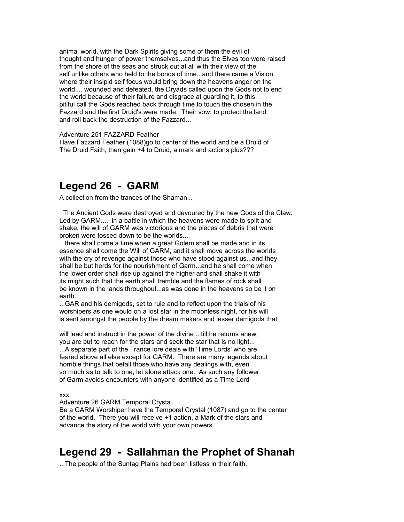animal world, with the Dark Spirits giving some of them the evil of thought and hunger of power themselves...and thus the Elves too were raised from the shore of the seas and struck out at all with their view of the self unlike others who held to the bonds of time...and there came a Vision where their insipid self focus would bring down the heavens anger on the world.... wounded and defeated, the Dryads called upon the Gods not to end the world because of their failure and disgrace at guarding it, to this pitiful call the Gods reached back through time to touch the chosen in the Fazzard and the first Druid's were made. Their vow: to protect the land and roll back the destruction of the Fazzard...

Adventure 251 FAZZARD Feather

Have Fazzard Feather (1088)go to center of the world and be a Druid of The Druid Faith, then gain +4 to Druid, a mark and actions plus???

#### <span id="page-16-1"></span>**Legend 26 - GARM**

A collection from the trances of the Shaman...

 The Ancient Gods were destroyed and devoured by the new Gods of the Claw. Led by GARM.... in a battle in which the heavens were made to split and shake, the will of GARM was victorious and the pieces of debris that were broken were tossed down to be the worlds....

...there shall come a time when a great Golem shall be made and in its essence shall come the Will of GARM, and it shall move across the worlds with the cry of revenge against those who have stood against us...and they shall be but herds for the nourishment of Garm...and he shall come when the lower order shall rise up against the higher and shall shake it with its might such that the earth shall tremble and the flames of rock shall be known in the lands throughout...as was done in the heavens so be it on earth...

...GAR and his demigods, set to rule and to reflect upon the trials of his worshipers as one would on a lost star in the moonless night, for his will is sent amongst the people by the dream makers and lesser demigods that

will lead and instruct in the power of the divine ...till he returns anew, you are but to reach for the stars and seek the star that is no light... ...A separate part of the Trance lore deals with 'Time Lords' who are feared above all else except for GARM. There are many legends about horrible things that befall those who have any dealings with, even so much as to talk to one, let alone attack one. As such any follower of Garm avoids encounters with anyone identified as a Time Lord

xxx

Adventure 26 GARM Temporal Crysta

Be a GARM Worshiper have the Temporal Crystal (1087) and go to the center of the world. There you will receive +1 action, a Mark of the stars and advance the story of the world with your own powers.

#### <span id="page-16-0"></span>**Legend 29 - Sallahman the Prophet of Shanah**

...The people of the Suntag Plains had been listless in their faith.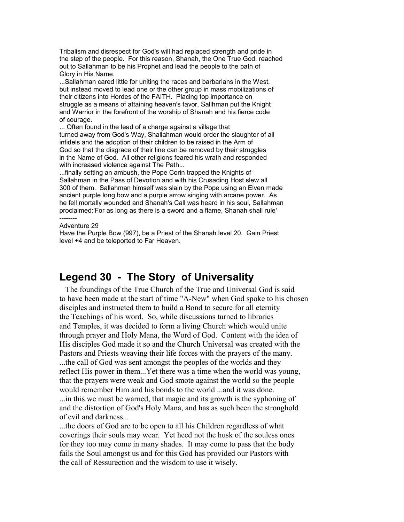Tribalism and disrespect for God's will had replaced strength and pride in the step of the people. For this reason, Shanah, the One True God, reached out to Sallahman to be his Prophet and lead the people to the path of Glory in His Name.

...Sallahman cared little for uniting the races and barbarians in the West, but instead moved to lead one or the other group in mass mobilizations of their citizens into Hordes of the FAITH. Placing top importance on struggle as a means of attaining heaven's favor, Sallhman put the Knight and Warrior in the forefront of the worship of Shanah and his fierce code of courage.

... Often found in the lead of a charge against a village that turned away from God's Way, Shallahman would order the slaughter of all infidels and the adoption of their children to be raised in the Arm of God so that the disgrace of their line can be removed by their struggles in the Name of God. All other religions feared his wrath and responded with increased violence against The Path...

...finally setting an ambush, the Pope Corin trapped the Knights of Sallahman in the Pass of Devotion and with his Crusading Host slew all 300 of them. Sallahman himself was slain by the Pope using an Elven made ancient purple long bow and a purple arrow singing with arcane power. As he fell mortally wounded and Shanah's Call was heard in his soul, Sallahman proclaimed:'For as long as there is a sword and a flame, Shanah shall rule' --------

#### Adventure 29

Have the Purple Bow (997), be a Priest of the Shanah level 20. Gain Priest level +4 and be teleported to Far Heaven.

#### <span id="page-17-0"></span>**Legend 30 - The Story of Universality**

 The foundings of the True Church of the True and Universal God is said to have been made at the start of time "A-New" when God spoke to his chosen disciples and instructed them to build a Bond to secure for all eternity the Teachings of his word. So, while discussions turned to libraries and Temples, it was decided to form a living Church which would unite through prayer and Holy Mana, the Word of God. Content with the idea of His disciples God made it so and the Church Universal was created with the Pastors and Priests weaving their life forces with the prayers of the many.

...the call of God was sent amongst the peoples of the worlds and they reflect His power in them...Yet there was a time when the world was young, that the prayers were weak and God smote against the world so the people would remember Him and his bonds to the world ...and it was done. ...in this we must be warned, that magic and its growth is the syphoning of and the distortion of God's Holy Mana, and has as such been the stronghold of evil and darkness...

...the doors of God are to be open to all his Children regardless of what coverings their souls may wear. Yet heed not the husk of the souless ones for they too may come in many shades. It may come to pass that the body fails the Soul amongst us and for this God has provided our Pastors with the call of Ressurection and the wisdom to use it wisely.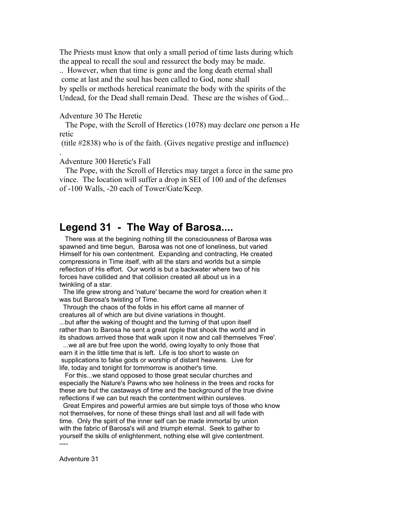The Priests must know that only a small period of time lasts during which the appeal to recall the soul and ressurect the body may be made.

.. However, when that time is gone and the long death eternal shall come at last and the soul has been called to God, none shall by spells or methods heretical reanimate the body with the spirits of the Undead, for the Dead shall remain Dead. These are the wishes of God...

Adventure 30 The Heretic

 The Pope, with the Scroll of Heretics (1078) may declare one person a He retic

(title #2838) who is of the faith. (Gives negative prestige and influence)

Adventure 300 Heretic's Fall

.

 The Pope, with the Scroll of Heretics may target a force in the same pro vince. The location will suffer a drop in SEI of 100 and of the defenses of -100 Walls, -20 each of Tower/Gate/Keep.

#### <span id="page-18-0"></span>**Legend 31 - The Way of Barosa....**

 There was at the begining nothing till the consciousness of Barosa was spawned and time begun, Barosa was not one of loneliness, but varied Himself for his own contentment. Expanding and contracting, He created compressions in Time itself, with all the stars and worlds but a simple reflection of His effort. Our world is but a backwater where two of his forces have collided and that collision created all about us in a twinkling of a star.

 The life grew strong and 'nature' became the word for creation when it was but Barosa's twisting of Time.

 Through the chaos of the folds in his effort came all manner of creatures all of which are but divine variations in thought. ...but after the waking of thought and the turning of that upon itself rather than to Barosa he sent a great ripple that shook the world and in its shadows arrived those that walk upon it now and call themselves 'Free'.

 ...we all are but free upon the world, owing loyalty to only those that earn it in the little time that is left. Life is too short to waste on supplications to false gods or worship of distant heavens. Live for life, today and tonight for tommorrow is another's time.

 For this...we stand opposed to those great secular churches and especially the Nature's Pawns who see holiness in the trees and rocks for these are but the castaways of time and the background of the true divine reflections if we can but reach the contentment within oursleves.

 Great Empires and powerful armies are but simple toys of those who know not themselves, for none of these things shall last and all will fade with time. Only the spirit of the inner self can be made immortal by union with the fabric of Barosa's will and triumph eternal. Seek to gather to yourself the skills of enlightenment, nothing else will give contentment.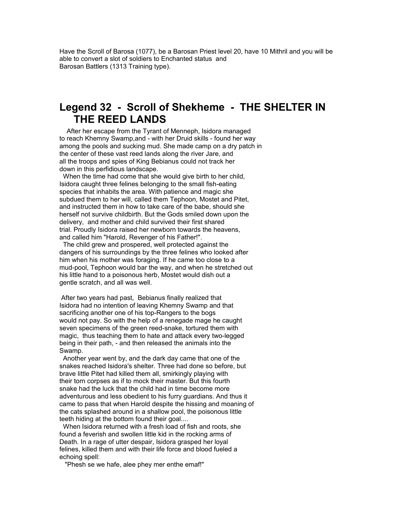Have the Scroll of Barosa (1077), be a Barosan Priest level 20, have 10 Mithril and you will be able to convert a slot of soldiers to Enchanted status and Barosan Battlers (1313 Training type).

#### <span id="page-19-0"></span>**Legend 32 - Scroll of Shekheme - THE SHELTER IN THE REED LANDS**

 After her escape from the Tyrant of Menneph, Isidora managed to reach Khemny Swamp,and - with her Druid skills - found her way among the pools and sucking mud. She made camp on a dry patch in the center of these vast reed lands along the river Jare, and all the troops and spies of King Bebianus could not track her down in this perfidious landscape.

 When the time had come that she would give birth to her child, Isidora caught three felines belonging to the small fish-eating species that inhabits the area. With patience and magic she subdued them to her will, called them Tephoon, Mostet and Pitet, and instructed them in how to take care of the babe, should she herself not survive childbirth. But the Gods smiled down upon the delivery, and mother and child survived their first shared trial. Proudly Isidora raised her newborn towards the heavens, and called him "Harold, Revenger of his Father!".

 The child grew and prospered, well protected against the dangers of his surroundings by the three felines who looked after him when his mother was foraging. If he came too close to a mud-pool, Tephoon would bar the way, and when he stretched out his little hand to a poisonous herb, Mostet would dish out a gentle scratch, and all was well.

 After two years had past, Bebianus finally realized that Isidora had no intention of leaving Khemny Swamp and that sacrificing another one of his top-Rangers to the bogs would not pay. So with the help of a renegade mage he caught seven specimens of the green reed-snake, tortured them with magic, thus teaching them to hate and attack every two-legged being in their path, - and then released the animals into the Swamp.

 Another year went by, and the dark day came that one of the snakes reached Isidora's shelter. Three had done so before, but brave little Pitet had killed them all, smirkingly playing with their torn corpses as if to mock their master. But this fourth snake had the luck that the child had in time become more adventurous and less obedient to his furry guardians. And thus it came to pass that when Harold despite the hissing and moaning of the cats splashed around in a shallow pool, the poisonous little teeth hiding at the bottom found their goal....

 When Isidora returned with a fresh load of fish and roots, she found a feverish and swollen little kid in the rocking arms of Death. In a rage of utter despair, Isidora grasped her loyal felines, killed them and with their life force and blood fueled a echoing spell:

"Phesh se we hafe, alee phey mer enthe emaf!"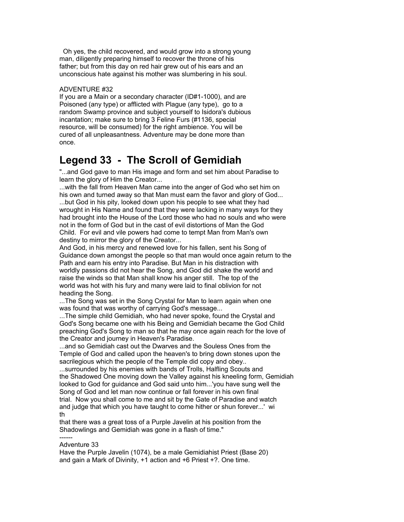Oh yes, the child recovered, and would grow into a strong young man, diligently preparing himself to recover the throne of his father; but from this day on red hair grew out of his ears and an unconscious hate against his mother was slumbering in his soul.

#### ADVENTURE #32

If you are a Main or a secondary character (ID#1-1000), and are Poisoned (any type) or afflicted with Plague (any type), go to a random Swamp province and subject yourself to Isidora's dubious incantation; make sure to bring 3 Feline Furs (#1136, special resource, will be consumed) for the right ambience. You will be cured of all unpleasantness. Adventure may be done more than once.

## <span id="page-20-0"></span>**Legend 33 - The Scroll of Gemidiah**

"...and God gave to man His image and form and set him about Paradise to learn the glory of Him the Creator...

...with the fall from Heaven Man came into the anger of God who set him on his own and turned away so that Man must earn the favor and glory of God... ...but God in his pity, looked down upon his people to see what they had wrought in His Name and found that they were lacking in many ways for they had brought into the House of the Lord those who had no souls and who were not in the form of God but in the cast of evil distortions of Man the God Child. For evil and vile powers had come to tempt Man from Man's own destiny to mirror the glory of the Creator...

And God, in his mercy and renewed love for his fallen, sent his Song of Guidance down amongst the people so that man would once again return to the Path and earn his entry into Paradise. But Man in his distraction with worldly passions did not hear the Song, and God did shake the world and raise the winds so that Man shall know his anger still. The top of the world was hot with his fury and many were laid to final oblivion for not heading the Song.

...The Song was set in the Song Crystal for Man to learn again when one was found that was worthy of carrying God's message...

...The simple child Gemidiah, who had never spoke, found the Crystal and God's Song became one with his Being and Gemidiah became the God Child preaching God's Song to man so that he may once again reach for the love of the Creator and journey in Heaven's Paradise.

...and so Gemidiah cast out the Dwarves and the Souless Ones from the Temple of God and called upon the heaven's to bring down stones upon the sacrilegious which the people of the Temple did copy and obey..

...surrounded by his enemies with bands of Trolls, Halfling Scouts and the Shadowed One moving down the Valley against his kneeling form, Gemidiah looked to God for guidance and God said unto him...'you have sung well the Song of God and let man now continue or fall forever in his own final trial. Now you shall come to me and sit by the Gate of Paradise and watch and judge that which you have taught to come hither or shun forever...' wi th

that there was a great toss of a Purple Javelin at his position from the Shadowlings and Gemidiah was gone in a flash of time." ------

#### Adventure 33

Have the Purple Javelin (1074), be a male Gemidiahist Priest (Base 20) and gain a Mark of Divinity, +1 action and +6 Priest +?. One time.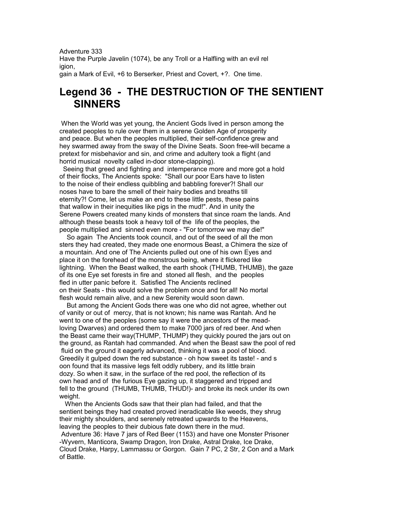Adventure 333 Have the Purple Javelin (1074), be any Troll or a Halfling with an evil rel igion, gain a Mark of Evil, +6 to Berserker, Priest and Covert, +?. One time.

### <span id="page-21-0"></span>**Legend 36 - THE DESTRUCTION OF THE SENTIENT SINNERS**

 When the World was yet young, the Ancient Gods lived in person among the created peoples to rule over them in a serene Golden Age of prosperity and peace. But when the peoples multiplied, their self-confidence grew and hey swarmed away from the sway of the Divine Seats. Soon free-will became a pretext for misbehavior and sin, and crime and adultery took a flight (and horrid musical novelty called in-door stone-clapping).

 Seeing that greed and fighting and intemperance more and more got a hold of their flocks, The Ancients spoke: "Shall our poor Ears have to listen to the noise of their endless quibbling and babbling forever?! Shall our noses have to bare the smell of their hairy bodies and breaths till eternity?! Come, let us make an end to these little pests, these pains that wallow in their inequities like pigs in the mud!". And in unity the Serene Powers created many kinds of monsters that since roam the lands. And although these beasts took a heavy toll of the life of the peoples, the people multiplied and sinned even more - "For tomorrow we may die!"

 So again The Ancients took council, and out of the seed of all the mon sters they had created, they made one enormous Beast, a Chimera the size of a mountain. And one of The Ancients pulled out one of his own Eyes and place it on the forehead of the monstrous being, where it flickered like lightning. When the Beast walked, the earth shook (THUMB, THUMB), the gaze of its one Eye set forests in fire and stoned all flesh, and the peoples fled in utter panic before it. Satisfied The Ancients reclined on their Seats - this would solve the problem once and for all! No mortal flesh would remain alive, and a new Serenity would soon dawn.

 But among the Ancient Gods there was one who did not agree, whether out of vanity or out of mercy, that is not known; his name was Rantah. And he went to one of the peoples (some say it were the ancestors of the meadloving Dwarves) and ordered them to make 7000 jars of red beer. And when the Beast came their way(THUMP, THUMP) they quickly poured the jars out on the ground, as Rantah had commanded. And when the Beast saw the pool of red fluid on the ground it eagerly advanced, thinking it was a pool of blood. Greedily it gulped down the red substance - oh how sweet its taste! - and s oon found that its massive legs felt oddly rubbery, and its little brain dozy. So when it saw, in the surface of the red pool, the reflection of its own head and of the furious Eye gazing up, it staggered and tripped and fell to the ground (THUMB, THUMB, THUD!)- and broke its neck under its own weight.

 When the Ancients Gods saw that their plan had failed, and that the sentient beings they had created proved ineradicable like weeds, they shrug their mighty shoulders, and serenely retreated upwards to the Heavens, leaving the peoples to their dubious fate down there in the mud. Adventure 36: Have 7 jars of Red Beer (1153) and have one Monster Prisoner -Wyvern, Manticora, Swamp Dragon, Iron Drake, Astral Drake, Ice Drake, Cloud Drake, Harpy, Lammassu or Gorgon. Gain 7 PC, 2 Str, 2 Con and a Mark of Battle.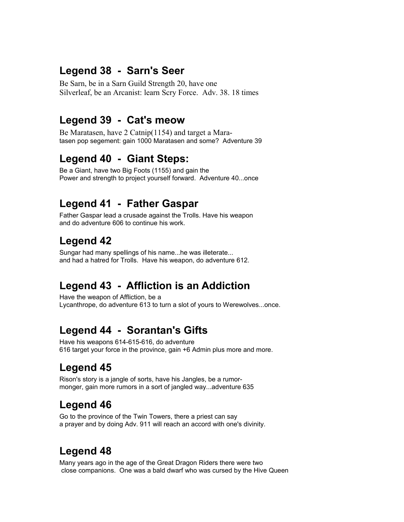## <span id="page-22-9"></span>**Legend 38 - Sarn's Seer**

Be Sarn, be in a Sarn Guild Strength 20, have one Silverleaf, be an Arcanist: learn Scry Force. Adv. 38. 18 times

### <span id="page-22-8"></span>**Legend 39 - Cat's meow**

Be Maratasen, have 2 Catnip(1154) and target a Maratasen pop segement: gain 1000 Maratasen and some? Adventure 39

## <span id="page-22-7"></span>**Legend 40 - Giant Steps:**

Be a Giant, have two Big Foots (1155) and gain the Power and strength to project yourself forward. Adventure 40...once

## <span id="page-22-6"></span>**Legend 41 - Father Gaspar**

Father Gaspar lead a crusade against the Trolls. Have his weapon and do adventure 606 to continue his work.

## <span id="page-22-5"></span>**Legend 42**

Sungar had many spellings of his name...he was illeterate... and had a hatred for Trolls. Have his weapon, do adventure 612.

## <span id="page-22-4"></span>**Legend 43 - Affliction is an Addiction**

Have the weapon of Affliction, be a Lycanthrope, do adventure 613 to turn a slot of yours to Werewolves...once.

## <span id="page-22-3"></span>**Legend 44 - Sorantan's Gifts**

Have his weapons 614-615-616, do adventure 616 target your force in the province, gain +6 Admin plus more and more.

# <span id="page-22-2"></span>**Legend 45**

Rison's story is a jangle of sorts, have his Jangles, be a rumormonger, gain more rumors in a sort of jangled way...adventure 635

## <span id="page-22-1"></span>**Legend 46**

Go to the province of the Twin Towers, there a priest can say a prayer and by doing Adv. 911 will reach an accord with one's divinity.

# <span id="page-22-0"></span>**Legend 48**

Many years ago in the age of the Great Dragon Riders there were two close companions. One was a bald dwarf who was cursed by the Hive Queen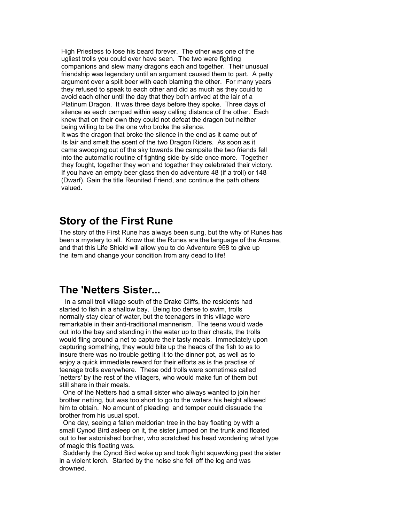High Priestess to lose his beard forever. The other was one of the ugliest trolls you could ever have seen. The two were fighting companions and slew many dragons each and together. Their unusual friendship was legendary until an argument caused them to part. A petty argument over a spilt beer with each blaming the other. For many years they refused to speak to each other and did as much as they could to avoid each other until the day that they both arrived at the lair of a Platinum Dragon. It was three days before they spoke. Three days of silence as each camped within easy calling distance of the other. Each knew that on their own they could not defeat the dragon but neither being willing to be the one who broke the silence. It was the dragon that broke the silence in the end as it came out of its lair and smelt the scent of the two Dragon Riders. As soon as it came swooping out of the sky towards the campsite the two friends fell into the automatic routine of fighting side-by-side once more. Together they fought, together they won and together they celebrated their victory. If you have an empty beer glass then do adventure 48 (if a troll) or 148 (Dwarf). Gain the title Reunited Friend, and continue the path others valued.

#### <span id="page-23-1"></span>**Story of the First Rune**

The story of the First Rune has always been sung, but the why of Runes has been a mystery to all. Know that the Runes are the language of the Arcane, and that this Life Shield will allow you to do Adventure 958 to give up the item and change your condition from any dead to life!

### <span id="page-23-0"></span>**The 'Netters Sister...**

 In a small troll village south of the Drake Cliffs, the residents had started to fish in a shallow bay. Being too dense to swim, trolls normally stay clear of water, but the teenagers in this village were remarkable in their anti-traditional mannerism. The teens would wade out into the bay and standing in the water up to their chests, the trolls would fling around a net to capture their tasty meals. Immediately upon capturing something, they would bite up the heads of the fish to as to insure there was no trouble getting it to the dinner pot, as well as to enjoy a quick immediate reward for their efforts as is the practise of teenage trolls everywhere. These odd trolls were sometimes called 'netters' by the rest of the villagers, who would make fun of them but still share in their meals.

 One of the Netters had a small sister who always wanted to join her brother netting, but was too short to go to the waters his height allowed him to obtain. No amount of pleading and temper could dissuade the brother from his usual spot.

 One day, seeing a fallen meldorian tree in the bay floating by with a small Cynod Bird asleep on it, the sister jumped on the trunk and floated out to her astonished borther, who scratched his head wondering what type of magic this floating was.

 Suddenly the Cynod Bird woke up and took flight squawking past the sister in a violent lerch. Started by the noise she fell off the log and was drowned.